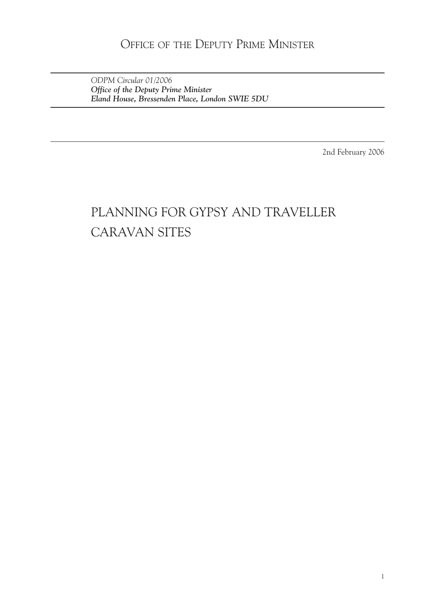### OFFICE OF THE DEPUTY PRIME MINISTER

*ODPM Circular 01/2006 Office of the Deputy Prime Minister Eland House, Bressenden Place, London SWIE 5DU*

2nd February 2006

# PLANNING FOR GYPSY AND TRAVELLER CARAVAN SITES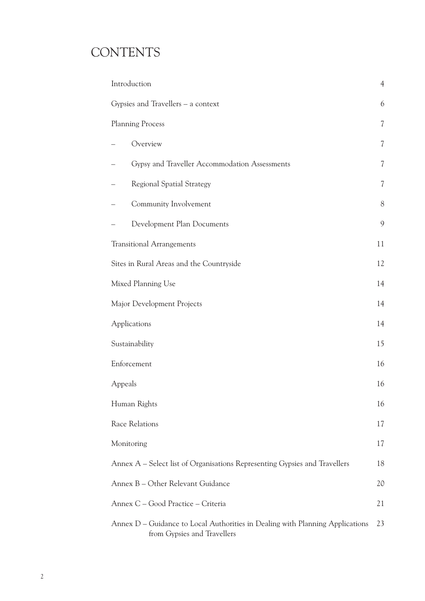# **CONTENTS**

| Introduction                                                                                                 | $\overline{4}$           |
|--------------------------------------------------------------------------------------------------------------|--------------------------|
| Gypsies and Travellers - a context                                                                           |                          |
| <b>Planning Process</b><br>7                                                                                 |                          |
| Overview                                                                                                     | $\overline{\mathcal{U}}$ |
| Gypsy and Traveller Accommodation Assessments                                                                | 7                        |
| <b>Regional Spatial Strategy</b>                                                                             | 7                        |
| Community Involvement                                                                                        | 8                        |
| Development Plan Documents                                                                                   | 9                        |
| <b>Transitional Arrangements</b>                                                                             | 11                       |
| Sites in Rural Areas and the Countryside                                                                     | 12                       |
| Mixed Planning Use                                                                                           | 14                       |
| Major Development Projects                                                                                   | 14                       |
| Applications                                                                                                 | 14                       |
| Sustainability                                                                                               |                          |
| Enforcement                                                                                                  |                          |
| Appeals                                                                                                      |                          |
| Human Rights                                                                                                 |                          |
| Race Relations                                                                                               | 17                       |
| Monitoring                                                                                                   | 17                       |
| Annex A – Select list of Organisations Representing Gypsies and Travellers                                   | 18                       |
| Annex B - Other Relevant Guidance                                                                            | 20                       |
| Annex C - Good Practice - Criteria                                                                           | 21                       |
| Annex D - Guidance to Local Authorities in Dealing with Planning Applications<br>from Gypsies and Travellers | 23                       |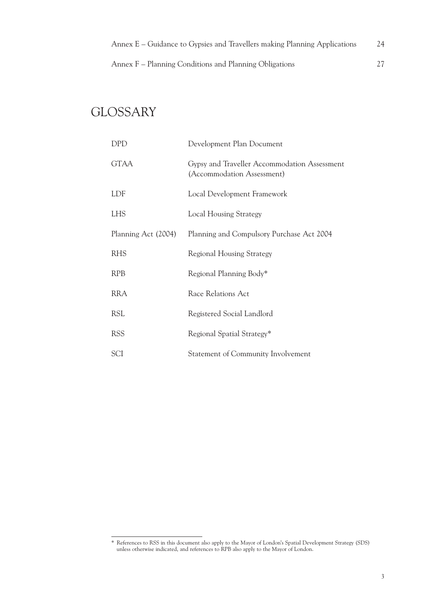Annex F – Planning Conditions and Planning Obligations 27

# **GLOSSARY**

| DPD                 | Development Plan Document                                                  |
|---------------------|----------------------------------------------------------------------------|
| <b>GTAA</b>         | Gypsy and Traveller Accommodation Assessment<br>(Accommodation Assessment) |
| LDF                 | Local Development Framework                                                |
| <b>LHS</b>          | <b>Local Housing Strategy</b>                                              |
| Planning Act (2004) | Planning and Compulsory Purchase Act 2004                                  |
| <b>RHS</b>          | <b>Regional Housing Strategy</b>                                           |
| <b>RPB</b>          | Regional Planning Body*                                                    |
| <b>RRA</b>          | Race Relations Act                                                         |
| <b>RSL</b>          | Registered Social Landlord                                                 |
| <b>RSS</b>          | Regional Spatial Strategy*                                                 |
| SCI                 | Statement of Community Involvement                                         |

<sup>\*</sup> References to RSS in this document also apply to the Mayor of London's Spatial Development Strategy (SDS) unless otherwise indicated, and references to RPB also apply to the Mayor of London.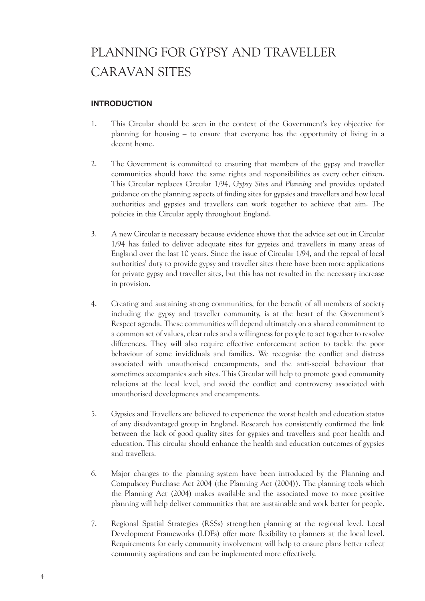# PLANNING FOR GYPSY AND TRAVELLER CARAVAN SITES

### **INTRODUCTION**

- 1. This Circular should be seen in the context of the Government's key objective for planning for housing – to ensure that everyone has the opportunity of living in a decent home.
- 2. The Government is committed to ensuring that members of the gypsy and traveller communities should have the same rights and responsibilities as every other citizen. This Circular replaces Circular 1/94, *Gypsy Sites and Planning* and provides updated guidance on the planning aspects of finding sites for gypsies and travellers and how local authorities and gypsies and travellers can work together to achieve that aim. The policies in this Circular apply throughout England.
- 3. A new Circular is necessary because evidence shows that the advice set out in Circular 1/94 has failed to deliver adequate sites for gypsies and travellers in many areas of England over the last 10 years. Since the issue of Circular 1/94, and the repeal of local authorities' duty to provide gypsy and traveller sites there have been more applications for private gypsy and traveller sites, but this has not resulted in the necessary increase in provision.
- 4. Creating and sustaining strong communities, for the benefit of all members of society including the gypsy and traveller community, is at the heart of the Government's Respect agenda. These communities will depend ultimately on a shared commitment to a common set of values, clear rules and a willingness for people to act together to resolve differences. They will also require effective enforcement action to tackle the poor behaviour of some invididuals and families. We recognise the conflict and distress associated with unauthorised encampments, and the anti-social behaviour that sometimes accompanies such sites. This Circular will help to promote good community relations at the local level, and avoid the conflict and controversy associated with unauthorised developments and encampments.
- 5. Gypsies and Travellers are believed to experience the worst health and education status of any disadvantaged group in England. Research has consistently confirmed the link between the lack of good quality sites for gypsies and travellers and poor health and education. This circular should enhance the health and education outcomes of gypsies and travellers.
- 6. Major changes to the planning system have been introduced by the Planning and Compulsory Purchase Act 2004 (the Planning Act (2004)). The planning tools which the Planning Act (2004) makes available and the associated move to more positive planning will help deliver communities that are sustainable and work better for people.
- 7. Regional Spatial Strategies (RSSs) strengthen planning at the regional level. Local Development Frameworks (LDFs) offer more flexibility to planners at the local level. Requirements for early community involvement will help to ensure plans better reflect community aspirations and can be implemented more effectively.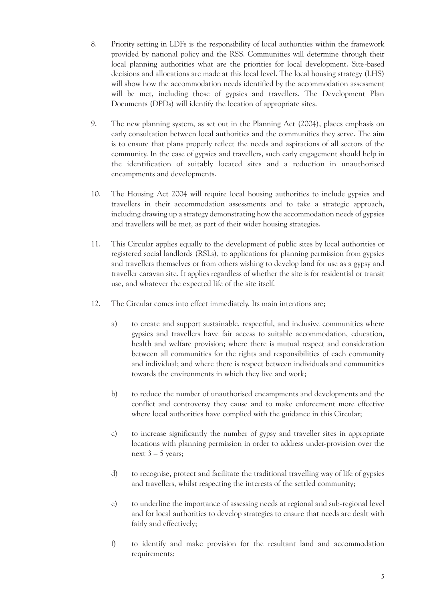- 8. Priority setting in LDFs is the responsibility of local authorities within the framework provided by national policy and the RSS. Communities will determine through their local planning authorities what are the priorities for local development. Site-based decisions and allocations are made at this local level. The local housing strategy (LHS) will show how the accommodation needs identified by the accommodation assessment will be met, including those of gypsies and travellers. The Development Plan Documents (DPDs) will identify the location of appropriate sites.
- 9. The new planning system, as set out in the Planning Act (2004), places emphasis on early consultation between local authorities and the communities they serve. The aim is to ensure that plans properly reflect the needs and aspirations of all sectors of the community. In the case of gypsies and travellers, such early engagement should help in the identification of suitably located sites and a reduction in unauthorised encampments and developments.
- 10. The Housing Act 2004 will require local housing authorities to include gypsies and travellers in their accommodation assessments and to take a strategic approach, including drawing up a strategy demonstrating how the accommodation needs of gypsies and travellers will be met, as part of their wider housing strategies.
- 11. This Circular applies equally to the development of public sites by local authorities or registered social landlords (RSLs), to applications for planning permission from gypsies and travellers themselves or from others wishing to develop land for use as a gypsy and traveller caravan site. It applies regardless of whether the site is for residential or transit use, and whatever the expected life of the site itself.
- 12. The Circular comes into effect immediately. Its main intentions are;
	- a) to create and support sustainable, respectful, and inclusive communities where gypsies and travellers have fair access to suitable accommodation, education, health and welfare provision; where there is mutual respect and consideration between all communities for the rights and responsibilities of each community and individual; and where there is respect between individuals and communities towards the environments in which they live and work;
	- b) to reduce the number of unauthorised encampments and developments and the conflict and controversy they cause and to make enforcement more effective where local authorities have complied with the guidance in this Circular;
	- c) to increase significantly the number of gypsy and traveller sites in appropriate locations with planning permission in order to address under-provision over the next  $3 - 5$  years;
	- d) to recognise, protect and facilitate the traditional travelling way of life of gypsies and travellers, whilst respecting the interests of the settled community;
	- e) to underline the importance of assessing needs at regional and sub-regional level and for local authorities to develop strategies to ensure that needs are dealt with fairly and effectively;
	- f) to identify and make provision for the resultant land and accommodation requirements;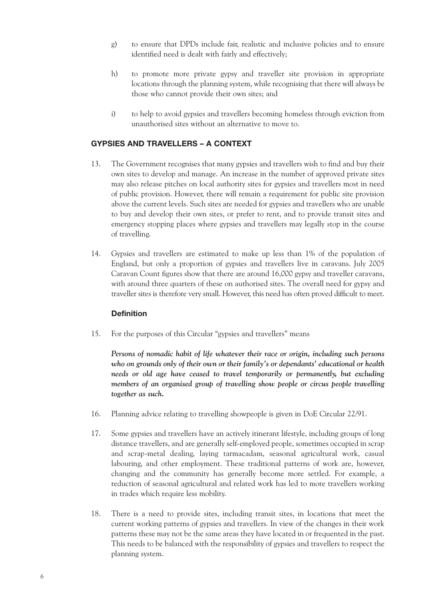- g) to ensure that DPDs include fair, realistic and inclusive policies and to ensure identified need is dealt with fairly and effectively;
- h) to promote more private gypsy and traveller site provision in appropriate locations through the planning system, while recognising that there will always be those who cannot provide their own sites; and
- i) to help to avoid gypsies and travellers becoming homeless through eviction from unauthorised sites without an alternative to move to.

#### **GYPSIES AND TRAVELLERS – A CONTEXT**

- 13. The Government recognises that many gypsies and travellers wish to find and buy their own sites to develop and manage. An increase in the number of approved private sites may also release pitches on local authority sites for gypsies and travellers most in need of public provision. However, there will remain a requirement for public site provision above the current levels. Such sites are needed for gypsies and travellers who are unable to buy and develop their own sites, or prefer to rent, and to provide transit sites and emergency stopping places where gypsies and travellers may legally stop in the course of travelling.
- 14. Gypsies and travellers are estimated to make up less than 1% of the population of England, but only a proportion of gypsies and travellers live in caravans. July 2005 Caravan Count figures show that there are around 16,000 gypsy and traveller caravans, with around three quarters of these on authorised sites. The overall need for gypsy and traveller sites is therefore very small. However, this need has often proved difficult to meet.

#### **Definition**

15. For the purposes of this Circular "gypsies and travellers" means

*Persons of nomadic habit of life whatever their race or origin, including such persons who on grounds only of their own or their family's or dependants' educational or health needs or old age have ceased to travel temporarily or permanently, but excluding members of an organised group of travelling show people or circus people travelling together as such.*

- 16. Planning advice relating to travelling showpeople is given in DoE Circular 22/91.
- 17. Some gypsies and travellers have an actively itinerant lifestyle, including groups of long distance travellers, and are generally self-employed people, sometimes occupied in scrap and scrap-metal dealing, laying tarmacadam, seasonal agricultural work, casual labouring, and other employment. These traditional patterns of work are, however, changing and the community has generally become more settled. For example, a reduction of seasonal agricultural and related work has led to more travellers working in trades which require less mobility.
- 18. There is a need to provide sites, including transit sites, in locations that meet the current working patterns of gypsies and travellers. In view of the changes in their work patterns these may not be the same areas they have located in or frequented in the past. This needs to be balanced with the responsibility of gypsies and travellers to respect the planning system.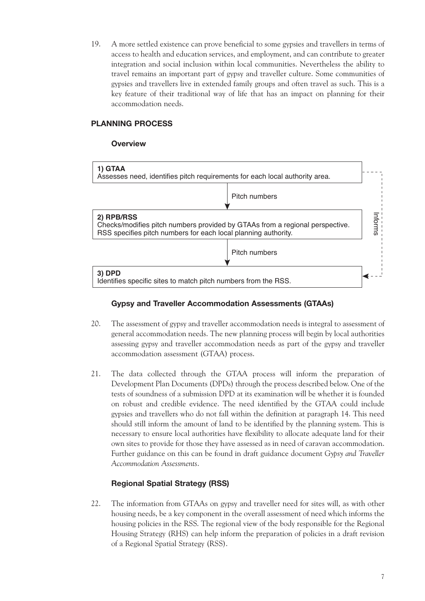19. A more settled existence can prove beneficial to some gypsies and travellers in terms of access to health and education services, and employment, and can contribute to greater integration and social inclusion within local communities. Nevertheless the ability to travel remains an important part of gypsy and traveller culture. Some communities of gypsies and travellers live in extended family groups and often travel as such. This is a key feature of their traditional way of life that has an impact on planning for their accommodation needs.

#### **PLANNING PROCESS**

#### **Overview**



#### **Gypsy and Traveller Accommodation Assessments (GTAAs)**

- 20. The assessment of gypsy and traveller accommodation needs is integral to assessment of general accommodation needs. The new planning process will begin by local authorities assessing gypsy and traveller accommodation needs as part of the gypsy and traveller accommodation assessment (GTAA) process.
- 21. The data collected through the GTAA process will inform the preparation of Development Plan Documents (DPDs) through the process described below. One of the tests of soundness of a submission DPD at its examination will be whether it is founded on robust and credible evidence. The need identified by the GTAA could include gypsies and travellers who do not fall within the definition at paragraph 14. This need should still inform the amount of land to be identified by the planning system. This is necessary to ensure local authorities have flexibility to allocate adequate land for their own sites to provide for those they have assessed as in need of caravan accommodation. Further guidance on this can be found in draft guidance document *Gypsy and Traveller Accommodation Assessments*.

### **Regional Spatial Strategy (RSS)**

22. The information from GTAAs on gypsy and traveller need for sites will, as with other housing needs, be a key component in the overall assessment of need which informs the housing policies in the RSS. The regional view of the body responsible for the Regional Housing Strategy (RHS) can help inform the preparation of policies in a draft revision of a Regional Spatial Strategy (RSS).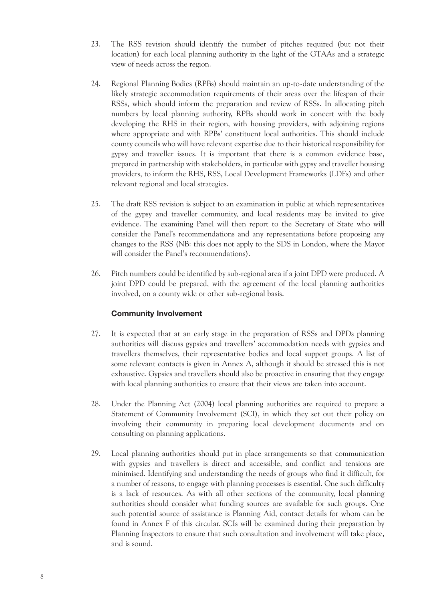- 23. The RSS revision should identify the number of pitches required (but not their location) for each local planning authority in the light of the GTAAs and a strategic view of needs across the region.
- 24. Regional Planning Bodies (RPBs) should maintain an up-to-date understanding of the likely strategic accommodation requirements of their areas over the lifespan of their RSSs, which should inform the preparation and review of RSSs. In allocating pitch numbers by local planning authority, RPBs should work in concert with the body developing the RHS in their region, with housing providers, with adjoining regions where appropriate and with RPBs' constituent local authorities. This should include county councils who will have relevant expertise due to their historical responsibility for gypsy and traveller issues. It is important that there is a common evidence base, prepared in partnership with stakeholders, in particular with gypsy and traveller housing providers, to inform the RHS, RSS, Local Development Frameworks (LDFs) and other relevant regional and local strategies.
- 25. The draft RSS revision is subject to an examination in public at which representatives of the gypsy and traveller community, and local residents may be invited to give evidence. The examining Panel will then report to the Secretary of State who will consider the Panel's recommendations and any representations before proposing any changes to the RSS (NB: this does not apply to the SDS in London, where the Mayor will consider the Panel's recommendations).
- 26. Pitch numbers could be identified by sub-regional area if a joint DPD were produced. A joint DPD could be prepared, with the agreement of the local planning authorities involved, on a county wide or other sub-regional basis.

#### **Community Involvement**

- 27. It is expected that at an early stage in the preparation of RSSs and DPDs planning authorities will discuss gypsies and travellers' accommodation needs with gypsies and travellers themselves, their representative bodies and local support groups. A list of some relevant contacts is given in Annex A, although it should be stressed this is not exhaustive. Gypsies and travellers should also be proactive in ensuring that they engage with local planning authorities to ensure that their views are taken into account.
- 28. Under the Planning Act (2004) local planning authorities are required to prepare a Statement of Community Involvement (SCI), in which they set out their policy on involving their community in preparing local development documents and on consulting on planning applications.
- 29. Local planning authorities should put in place arrangements so that communication with gypsies and travellers is direct and accessible, and conflict and tensions are minimised. Identifying and understanding the needs of groups who find it difficult, for a number of reasons, to engage with planning processes is essential. One such difficulty is a lack of resources. As with all other sections of the community, local planning authorities should consider what funding sources are available for such groups. One such potential source of assistance is Planning Aid, contact details for whom can be found in Annex F of this circular. SCIs will be examined during their preparation by Planning Inspectors to ensure that such consultation and involvement will take place, and is sound.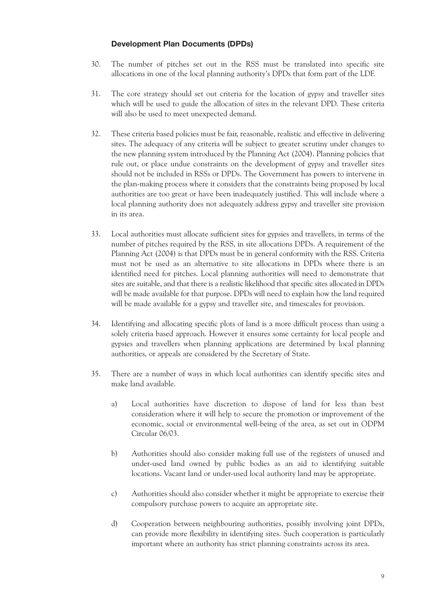#### **Development Plan Documents (DPDs)**

- 30. The number of pitches set out in the RSS must be translated into specific site allocations in one of the local planning authority's DPDs that form part of the LDF.
- 31. The core strategy should set out criteria for the location of gypsy and traveller sites which will be used to guide the allocation of sites in the relevant DPD. These criteria will also be used to meet unexpected demand.
- 32. These criteria based policies must be fair, reasonable, realistic and effective in delivering sites. The adequacy of any criteria will be subject to greater scrutiny under changes to the new planning system introduced by the Planning Act (2004). Planning policies that rule out, or place undue constraints on the development of gypsy and traveller sites should not be included in RSSs or DPDs. The Government has powers to intervene in the plan-making process where it considers that the constraints being proposed by local authorities are too great or have been inadequately justified. This will include where a local planning authority does not adequately address gypsy and traveller site provision in its area.
- 33. Local authorities must allocate sufficient sites for gypsies and travellers, in terms of the number of pitches required by the RSS, in site allocations DPDs. A requirement of the Planning Act (2004) is that DPDs must be in general conformity with the RSS. Criteria must not be used as an alternative to site allocations in DPDs where there is an identified need for pitches. Local planning authorities will need to demonstrate that sites are suitable, and that there is a realistic likelihood that specific sites allocated in DPDs will be made available for that purpose. DPDs will need to explain how the land required will be made available for a gypsy and traveller site, and timescales for provision.
- 34. Identifying and allocating specific plots of land is a more difficult process than using a solely criteria based approach. However it ensures some certainty for local people and gypsies and travellers when planning applications are determined by local planning authorities, or appeals are considered by the Secretary of State.
- 35. There are a number of ways in which local authorities can identify specific sites and make land available.
	- a) Local authorities have discretion to dispose of land for less than best consideration where it will help to secure the promotion or improvement of the economic, social or environmental well-being of the area, as set out in ODPM Circular 06/03.
	- b) Authorities should also consider making full use of the registers of unused and under-used land owned by public bodies as an aid to identifying suitable locations. Vacant land or under-used local authority land may be appropriate.
	- c) Authorities should also consider whether it might be appropriate to exercise their compulsory purchase powers to acquire an appropriate site.
	- d) Cooperation between neighbouring authorities, possibly involving joint DPDs, can provide more flexibility in identifying sites. Such cooperation is particularly important where an authority has strict planning constraints across its area.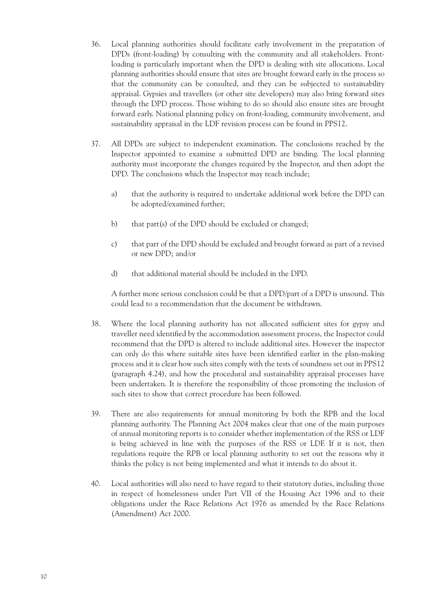- 36. Local planning authorities should facilitate early involvement in the preparation of DPDs (front-loading) by consulting with the community and all stakeholders. Frontloading is particularly important when the DPD is dealing with site allocations. Local planning authorities should ensure that sites are brought forward early in the process so that the community can be consulted, and they can be subjected to sustainability appraisal. Gypsies and travellers (or other site developers) may also bring forward sites through the DPD process. Those wishing to do so should also ensure sites are brought forward early. National planning policy on front-loading, community involvement, and sustainability appraisal in the LDF revision process can be found in PPS12.
- 37. All DPDs are subject to independent examination. The conclusions reached by the Inspector appointed to examine a submitted DPD are binding. The local planning authority must incorporate the changes required by the Inspector, and then adopt the DPD. The conclusions which the Inspector may reach include;
	- a) that the authority is required to undertake additional work before the DPD can be adopted/examined further;
	- b) that part(s) of the DPD should be excluded or changed;
	- c) that part of the DPD should be excluded and brought forward as part of a revised or new DPD; and/or
	- d) that additional material should be included in the DPD.

A further more serious conclusion could be that a DPD/part of a DPD is unsound. This could lead to a recommendation that the document be withdrawn.

- 38. Where the local planning authority has not allocated sufficient sites for gypsy and traveller need identified by the accommodation assessment process, the Inspector could recommend that the DPD is altered to include additional sites. However the inspector can only do this where suitable sites have been identified earlier in the plan-making process and it is clear how such sites comply with the tests of soundness set out in PPS12 (paragraph 4.24), and how the procedural and sustainability appraisal processes have been undertaken. It is therefore the responsibility of those promoting the inclusion of such sites to show that correct procedure has been followed.
- 39. There are also requirements for annual monitoring by both the RPB and the local planning authority. The Planning Act 2004 makes clear that one of the main purposes of annual monitoring reports is to consider whether implementation of the RSS or LDF is being achieved in line with the purposes of the RSS or LDF. If it is not, then regulations require the RPB or local planning authority to set out the reasons why it thinks the policy is not being implemented and what it intends to do about it.
- 40. Local authorities will also need to have regard to their statutory duties, including those in respect of homelessness under Part VII of the Housing Act 1996 and to their obligations under the Race Relations Act 1976 as amended by the Race Relations (Amendment) Act 2000.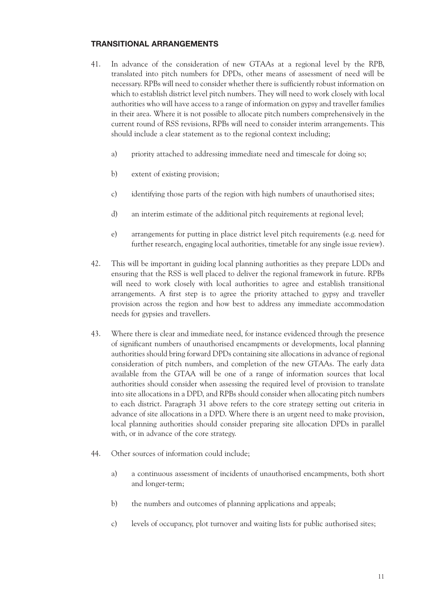#### **TRANSITIONAL ARRANGEMENTS**

- 41. In advance of the consideration of new GTAAs at a regional level by the RPB, translated into pitch numbers for DPDs, other means of assessment of need will be necessary. RPBs will need to consider whether there is sufficiently robust information on which to establish district level pitch numbers. They will need to work closely with local authorities who will have access to a range of information on gypsy and traveller families in their area. Where it is not possible to allocate pitch numbers comprehensively in the current round of RSS revisions, RPBs will need to consider interim arrangements. This should include a clear statement as to the regional context including;
	- a) priority attached to addressing immediate need and timescale for doing so;
	- b) extent of existing provision;
	- c) identifying those parts of the region with high numbers of unauthorised sites;
	- d) an interim estimate of the additional pitch requirements at regional level;
	- e) arrangements for putting in place district level pitch requirements (e.g. need for further research, engaging local authorities, timetable for any single issue review).
- 42. This will be important in guiding local planning authorities as they prepare LDDs and ensuring that the RSS is well placed to deliver the regional framework in future. RPBs will need to work closely with local authorities to agree and establish transitional arrangements. A first step is to agree the priority attached to gypsy and traveller provision across the region and how best to address any immediate accommodation needs for gypsies and travellers.
- 43. Where there is clear and immediate need, for instance evidenced through the presence of significant numbers of unauthorised encampments or developments, local planning authorities should bring forward DPDs containing site allocations in advance of regional consideration of pitch numbers, and completion of the new GTAAs. The early data available from the GTAA will be one of a range of information sources that local authorities should consider when assessing the required level of provision to translate into site allocations in a DPD, and RPBs should consider when allocating pitch numbers to each district. Paragraph 31 above refers to the core strategy setting out criteria in advance of site allocations in a DPD. Where there is an urgent need to make provision, local planning authorities should consider preparing site allocation DPDs in parallel with, or in advance of the core strategy.
- 44. Other sources of information could include;
	- a) a continuous assessment of incidents of unauthorised encampments, both short and longer-term;
	- b) the numbers and outcomes of planning applications and appeals;
	- c) levels of occupancy, plot turnover and waiting lists for public authorised sites;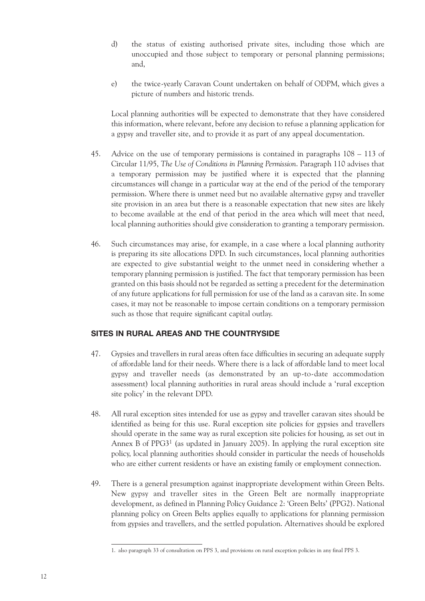- d) the status of existing authorised private sites, including those which are unoccupied and those subject to temporary or personal planning permissions; and,
- e) the twice-yearly Caravan Count undertaken on behalf of ODPM, which gives a picture of numbers and historic trends.

Local planning authorities will be expected to demonstrate that they have considered this information, where relevant, before any decision to refuse a planning application for a gypsy and traveller site, and to provide it as part of any appeal documentation.

- 45. Advice on the use of temporary permissions is contained in paragraphs 108 113 of Circular 11/95, *The Use of Conditions in Planning Permission*. Paragraph 110 advises that a temporary permission may be justified where it is expected that the planning circumstances will change in a particular way at the end of the period of the temporary permission. Where there is unmet need but no available alternative gypsy and traveller site provision in an area but there is a reasonable expectation that new sites are likely to become available at the end of that period in the area which will meet that need, local planning authorities should give consideration to granting a temporary permission.
- 46. Such circumstances may arise, for example, in a case where a local planning authority is preparing its site allocations DPD. In such circumstances, local planning authorities are expected to give substantial weight to the unmet need in considering whether a temporary planning permission is justified. The fact that temporary permission has been granted on this basis should not be regarded as setting a precedent for the determination of any future applications for full permission for use of the land as a caravan site. In some cases, it may not be reasonable to impose certain conditions on a temporary permission such as those that require significant capital outlay.

#### **SITES IN RURAL AREAS AND THE COUNTRYSIDE**

- 47. Gypsies and travellers in rural areas often face difficulties in securing an adequate supply of affordable land for their needs. Where there is a lack of affordable land to meet local gypsy and traveller needs (as demonstrated by an up-to-date accommodation assessment) local planning authorities in rural areas should include a 'rural exception site policy' in the relevant DPD.
- 48. All rural exception sites intended for use as gypsy and traveller caravan sites should be identified as being for this use. Rural exception site policies for gypsies and travellers should operate in the same way as rural exception site policies for housing, as set out in Annex B of  $PPG3<sup>1</sup>$  (as updated in January 2005). In applying the rural exception site policy, local planning authorities should consider in particular the needs of households who are either current residents or have an existing family or employment connection.
- 49. There is a general presumption against inappropriate development within Green Belts. New gypsy and traveller sites in the Green Belt are normally inappropriate development, as defined in Planning Policy Guidance 2: 'Green Belts' (PPG2). National planning policy on Green Belts applies equally to applications for planning permission from gypsies and travellers, and the settled population. Alternatives should be explored

<sup>1.</sup> also paragraph 33 of consultation on PPS 3, and provisions on rural exception policies in any final PPS 3.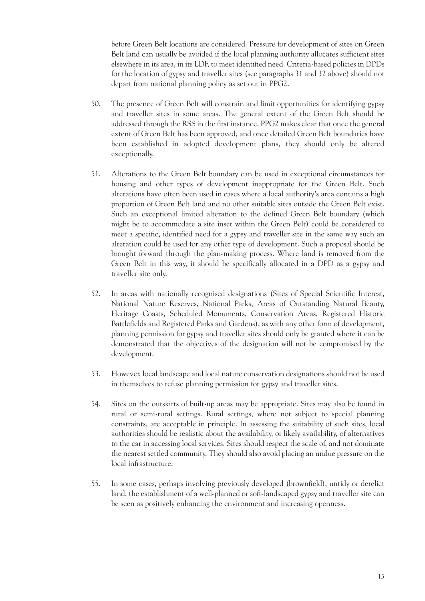before Green Belt locations are considered. Pressure for development of sites on Green Belt land can usually be avoided if the local planning authority allocates sufficient sites elsewhere in its area, in its LDF, to meet identified need. Criteria-based policies in DPDs for the location of gypsy and traveller sites (see paragraphs 31 and 32 above) should not depart from national planning policy as set out in PPG2.

- 50. The presence of Green Belt will constrain and limit opportunities for identifying gypsy and traveller sites in some areas. The general extent of the Green Belt should be addressed through the RSS in the first instance. PPG2 makes clear that once the general extent of Green Belt has been approved, and once detailed Green Belt boundaries have been established in adopted development plans, they should only be altered exceptionally.
- 51. Alterations to the Green Belt boundary can be used in exceptional circumstances for housing and other types of development inappropriate for the Green Belt. Such alterations have often been used in cases where a local authority's area contains a high proportion of Green Belt land and no other suitable sites outside the Green Belt exist. Such an exceptional limited alteration to the defined Green Belt boundary (which might be to accommodate a site inset within the Green Belt) could be considered to meet a specific, identified need for a gypsy and traveller site in the same way such an alteration could be used for any other type of development. Such a proposal should be brought forward through the plan-making process. Where land is removed from the Green Belt in this way, it should be specifically allocated in a DPD as a gypsy and traveller site only.
- 52. In areas with nationally recognised designations (Sites of Special Scientific Interest, National Nature Reserves, National Parks, Areas of Outstanding Natural Beauty, Heritage Coasts, Scheduled Monuments, Conservation Areas, Registered Historic Battlefields and Registered Parks and Gardens), as with any other form of development, planning permission for gypsy and traveller sites should only be granted where it can be demonstrated that the objectives of the designation will not be compromised by the development.
- 53. However, local landscape and local nature conservation designations should not be used in themselves to refuse planning permission for gypsy and traveller sites.
- 54. Sites on the outskirts of built-up areas may be appropriate. Sites may also be found in rural or semi-rural settings. Rural settings, where not subject to special planning constraints, are acceptable in principle. In assessing the suitability of such sites, local authorities should be realistic about the availability, or likely availability, of alternatives to the car in accessing local services. Sites should respect the scale of, and not dominate the nearest settled community. They should also avoid placing an undue pressure on the local infrastructure.
- 55. In some cases, perhaps involving previously developed (brownfield), untidy or derelict land, the establishment of a well-planned or soft-landscaped gypsy and traveller site can be seen as positively enhancing the environment and increasing openness.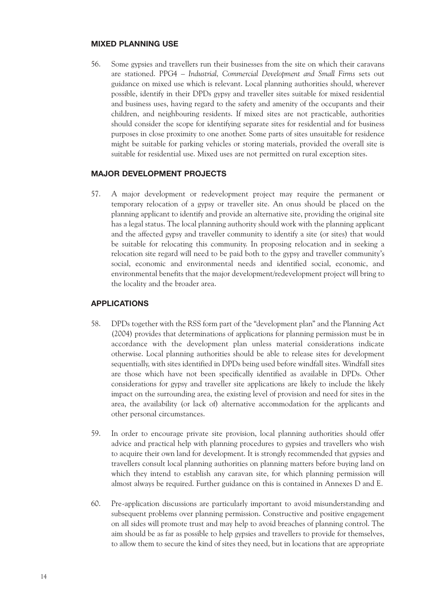#### **MIXED PLANNING USE**

56. Some gypsies and travellers run their businesses from the site on which their caravans are stationed. PPG4 – *Industrial, Commercial Development and Small Firms* sets out guidance on mixed use which is relevant. Local planning authorities should, wherever possible, identify in their DPDs gypsy and traveller sites suitable for mixed residential and business uses, having regard to the safety and amenity of the occupants and their children, and neighbouring residents. If mixed sites are not practicable, authorities should consider the scope for identifying separate sites for residential and for business purposes in close proximity to one another. Some parts of sites unsuitable for residence might be suitable for parking vehicles or storing materials, provided the overall site is suitable for residential use. Mixed uses are not permitted on rural exception sites.

#### **MAJOR DEVELOPMENT PROJECTS**

57. A major development or redevelopment project may require the permanent or temporary relocation of a gypsy or traveller site. An onus should be placed on the planning applicant to identify and provide an alternative site, providing the original site has a legal status. The local planning authority should work with the planning applicant and the affected gypsy and traveller community to identify a site (or sites) that would be suitable for relocating this community. In proposing relocation and in seeking a relocation site regard will need to be paid both to the gypsy and traveller community's social, economic and environmental needs and identified social, economic, and environmental benefits that the major development/redevelopment project will bring to the locality and the broader area.

#### **APPLICATIONS**

- 58. DPDs together with the RSS form part of the "development plan" and the Planning Act (2004) provides that determinations of applications for planning permission must be in accordance with the development plan unless material considerations indicate otherwise. Local planning authorities should be able to release sites for development sequentially, with sites identified in DPDs being used before windfall sites. Windfall sites are those which have not been specifically identified as available in DPDs. Other considerations for gypsy and traveller site applications are likely to include the likely impact on the surrounding area, the existing level of provision and need for sites in the area, the availability (or lack of) alternative accommodation for the applicants and other personal circumstances.
- 59. In order to encourage private site provision, local planning authorities should offer advice and practical help with planning procedures to gypsies and travellers who wish to acquire their own land for development. It is strongly recommended that gypsies and travellers consult local planning authorities on planning matters before buying land on which they intend to establish any caravan site, for which planning permission will almost always be required. Further guidance on this is contained in Annexes D and E.
- 60. Pre-application discussions are particularly important to avoid misunderstanding and subsequent problems over planning permission. Constructive and positive engagement on all sides will promote trust and may help to avoid breaches of planning control. The aim should be as far as possible to help gypsies and travellers to provide for themselves, to allow them to secure the kind of sites they need, but in locations that are appropriate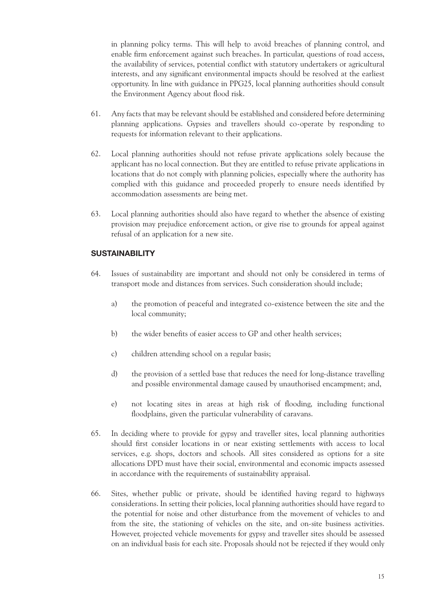in planning policy terms. This will help to avoid breaches of planning control, and enable firm enforcement against such breaches. In particular, questions of road access, the availability of services, potential conflict with statutory undertakers or agricultural interests, and any significant environmental impacts should be resolved at the earliest opportunity. In line with guidance in PPG25, local planning authorities should consult the Environment Agency about flood risk.

- 61. Any facts that may be relevant should be established and considered before determining planning applications. Gypsies and travellers should co-operate by responding to requests for information relevant to their applications.
- 62. Local planning authorities should not refuse private applications solely because the applicant has no local connection. But they are entitled to refuse private applications in locations that do not comply with planning policies, especially where the authority has complied with this guidance and proceeded properly to ensure needs identified by accommodation assessments are being met.
- 63. Local planning authorities should also have regard to whether the absence of existing provision may prejudice enforcement action, or give rise to grounds for appeal against refusal of an application for a new site.

#### **SUSTAINABILITY**

- 64. Issues of sustainability are important and should not only be considered in terms of transport mode and distances from services. Such consideration should include;
	- a) the promotion of peaceful and integrated co-existence between the site and the local community;
	- b) the wider benefits of easier access to GP and other health services;
	- c) children attending school on a regular basis;
	- d) the provision of a settled base that reduces the need for long-distance travelling and possible environmental damage caused by unauthorised encampment; and,
	- e) not locating sites in areas at high risk of flooding, including functional floodplains, given the particular vulnerability of caravans.
- 65. In deciding where to provide for gypsy and traveller sites, local planning authorities should first consider locations in or near existing settlements with access to local services, e.g. shops, doctors and schools. All sites considered as options for a site allocations DPD must have their social, environmental and economic impacts assessed in accordance with the requirements of sustainability appraisal.
- 66. Sites, whether public or private, should be identified having regard to highways considerations. In setting their policies, local planning authorities should have regard to the potential for noise and other disturbance from the movement of vehicles to and from the site, the stationing of vehicles on the site, and on-site business activities. However, projected vehicle movements for gypsy and traveller sites should be assessed on an individual basis for each site. Proposals should not be rejected if they would only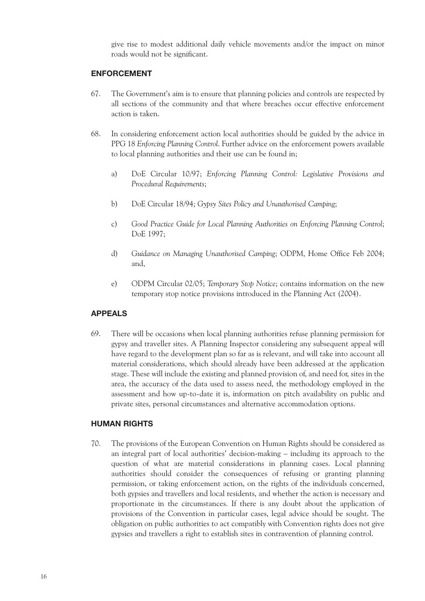give rise to modest additional daily vehicle movements and/or the impact on minor roads would not be significant.

#### **ENFORCEMENT**

- 67. The Government's aim is to ensure that planning policies and controls are respected by all sections of the community and that where breaches occur effective enforcement action is taken.
- 68. In considering enforcement action local authorities should be guided by the advice in PPG 18 *Enforcing Planning Control*. Further advice on the enforcement powers available to local planning authorities and their use can be found in;
	- a) DoE Circular 10/97; *Enforcing Planning Control: Legislative Provisions and Procedural Requirements*;
	- b) DoE Circular 18/94; *Gypsy Sites Policy and Unauthorised Camping*;
	- c) *Good Practice Guide for Local Planning Authorities on Enforcing Planning Control*; DoE 1997;
	- d) *Guidance on Managing Unauthorised Camping*; ODPM, Home Office Feb 2004; and,
	- e) ODPM Circular 02/05; *Temporary Stop Notice*; contains information on the new temporary stop notice provisions introduced in the Planning Act (2004).

#### **APPEALS**

69. There will be occasions when local planning authorities refuse planning permission for gypsy and traveller sites. A Planning Inspector considering any subsequent appeal will have regard to the development plan so far as is relevant, and will take into account all material considerations, which should already have been addressed at the application stage. These will include the existing and planned provision of, and need for, sites in the area, the accuracy of the data used to assess need, the methodology employed in the assessment and how up-to-date it is, information on pitch availability on public and private sites, personal circumstances and alternative accommodation options.

#### **HUMAN RIGHTS**

70. The provisions of the European Convention on Human Rights should be considered as an integral part of local authorities' decision-making – including its approach to the question of what are material considerations in planning cases. Local planning authorities should consider the consequences of refusing or granting planning permission, or taking enforcement action, on the rights of the individuals concerned, both gypsies and travellers and local residents, and whether the action is necessary and proportionate in the circumstances. If there is any doubt about the application of provisions of the Convention in particular cases, legal advice should be sought. The obligation on public authorities to act compatibly with Convention rights does not give gypsies and travellers a right to establish sites in contravention of planning control.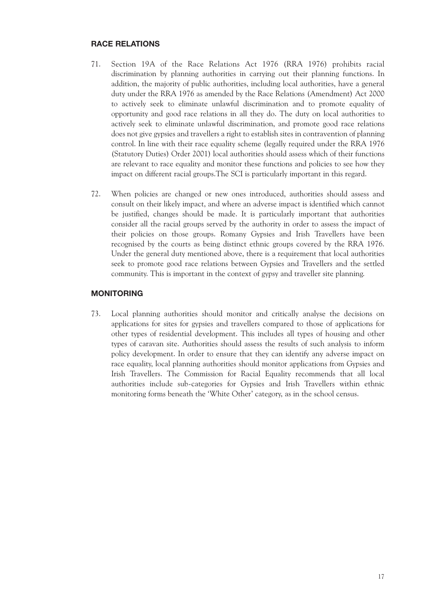#### **RACE RELATIONS**

- 71. Section 19A of the Race Relations Act 1976 (RRA 1976) prohibits racial discrimination by planning authorities in carrying out their planning functions. In addition, the majority of public authorities, including local authorities, have a general duty under the RRA 1976 as amended by the Race Relations (Amendment) Act 2000 to actively seek to eliminate unlawful discrimination and to promote equality of opportunity and good race relations in all they do. The duty on local authorities to actively seek to eliminate unlawful discrimination, and promote good race relations does not give gypsies and travellers a right to establish sites in contravention of planning control. In line with their race equality scheme (legally required under the RRA 1976 (Statutory Duties) Order 2001) local authorities should assess which of their functions are relevant to race equality and monitor these functions and policies to see how they impact on different racial groups.The SCI is particularly important in this regard.
- 72. When policies are changed or new ones introduced, authorities should assess and consult on their likely impact, and where an adverse impact is identified which cannot be justified, changes should be made. It is particularly important that authorities consider all the racial groups served by the authority in order to assess the impact of their policies on those groups. Romany Gypsies and Irish Travellers have been recognised by the courts as being distinct ethnic groups covered by the RRA 1976. Under the general duty mentioned above, there is a requirement that local authorities seek to promote good race relations between Gypsies and Travellers and the settled community. This is important in the context of gypsy and traveller site planning.

#### **MONITORING**

73. Local planning authorities should monitor and critically analyse the decisions on applications for sites for gypsies and travellers compared to those of applications for other types of residential development. This includes all types of housing and other types of caravan site. Authorities should assess the results of such analysis to inform policy development. In order to ensure that they can identify any adverse impact on race equality, local planning authorities should monitor applications from Gypsies and Irish Travellers. The Commission for Racial Equality recommends that all local authorities include sub-categories for Gypsies and Irish Travellers within ethnic monitoring forms beneath the 'White Other' category, as in the school census.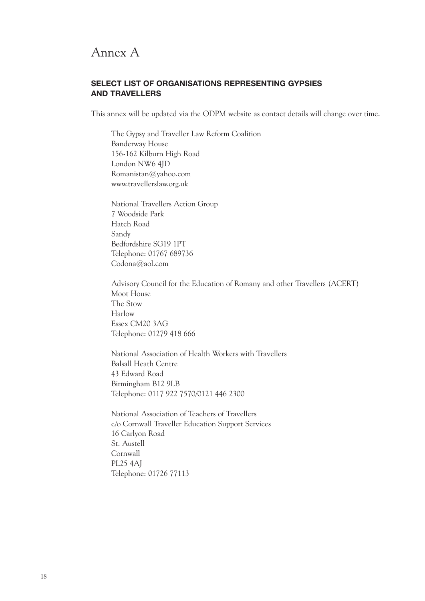### Annex A

#### **SELECT LIST OF ORGANISATIONS REPRESENTING GYPSIES AND TRAVELLERS**

This annex will be updated via the ODPM website as contact details will change over time.

The Gypsy and Traveller Law Reform Coalition Banderway House 156-162 Kilburn High Road London NW6 4JD Romanistan@yahoo.com www.travellerslaw.org.uk

National Travellers Action Group 7 Woodside Park Hatch Road Sandy Bedfordshire SG19 1PT Telephone: 01767 689736 Codona@aol.com

Advisory Council for the Education of Romany and other Travellers (ACERT) Moot House The Stow Harlow Essex CM20 3AG Telephone: 01279 418 666

National Association of Health Workers with Travellers Balsall Heath Centre 43 Edward Road Birmingham B12 9LB Telephone: 0117 922 7570/0121 446 2300

National Association of Teachers of Travellers c/o Cornwall Traveller Education Support Services 16 Carlyon Road St. Austell Cornwall PL25 4AJ Telephone: 01726 77113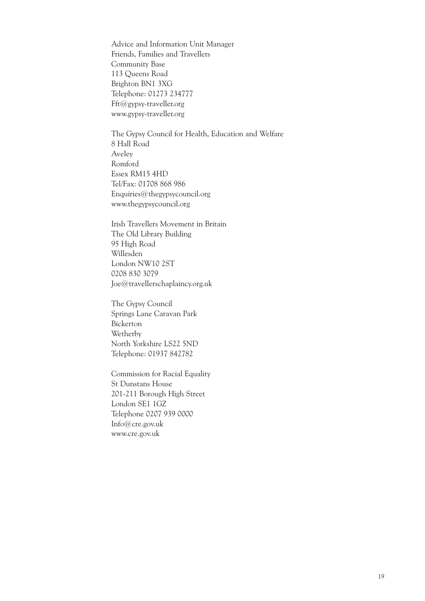Advice and Information Unit Manager Friends, Families and Travellers Community Base 113 Queens Road Brighton BN1 3XG Telephone: 01273 234777 Fft@gypsy-traveller.org www.gypsy-traveller.org

The Gypsy Council for Health, Education and Welfare 8 Hall Road Aveley Romford Essex RM15 4HD Tel/Fax: 01708 868 986 Enquiries@thegypsycouncil.org www.thegypsycouncil.org

Irish Travellers Movement in Britain The Old Library Building 95 High Road Willesden London NW10 2ST 0208 830 3079 Joe@travellerschaplaincy.org.uk

The Gypsy Council Springs Lane Caravan Park Bickerton Wetherby North Yorkshire LS22 5ND Telephone: 01937 842782

Commission for Racial Equality St Dunstans House 201-211 Borough High Street London SE1 1GZ Telephone 0207 939 0000 Info@cre.gov.uk www.cre.gov.uk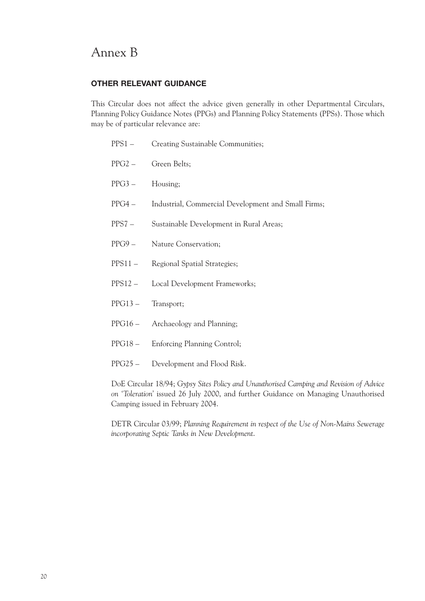## Annex B

#### **OTHER RELEVANT GUIDANCE**

This Circular does not affect the advice given generally in other Departmental Circulars, Planning Policy Guidance Notes (PPGs) and Planning Policy Statements (PPSs). Those which may be of particular relevance are:

|                                                                        | PPS1 – Creating Sustainable Communities;            |  |
|------------------------------------------------------------------------|-----------------------------------------------------|--|
| $PPG2 -$                                                               | Green Belts;                                        |  |
| $PPG3 -$                                                               | Housing;                                            |  |
| PPG4 –                                                                 | Industrial, Commercial Development and Small Firms; |  |
| $PPS7 -$                                                               | Sustainable Development in Rural Areas;             |  |
| $PPG9 -$                                                               | Nature Conservation;                                |  |
|                                                                        | PPS11 - Regional Spatial Strategies;                |  |
|                                                                        | PPS12 - Local Development Frameworks;               |  |
| PPG13 - Transport;                                                     |                                                     |  |
|                                                                        | PPG16 - Archaeology and Planning;                   |  |
|                                                                        | PPG18 - Enforcing Planning Control;                 |  |
|                                                                        | PPG25 - Development and Flood Risk.                 |  |
| DoE Circular 18/94; Gypsy Sites Policy and Unauthorised Camping and Re |                                                     |  |

DoE Circular 18/94; *Gypsy Sites Policy and Unauthorised Camping and Revision of Advice on 'Toleration'* issued 26 July 2000, and further Guidance on Managing Unauthorised Camping issued in February 2004.

DETR Circular 03/99; *Planning Requirement in respect of the Use of Non-Mains Sewerage incorporating Septic Tanks in New Development*.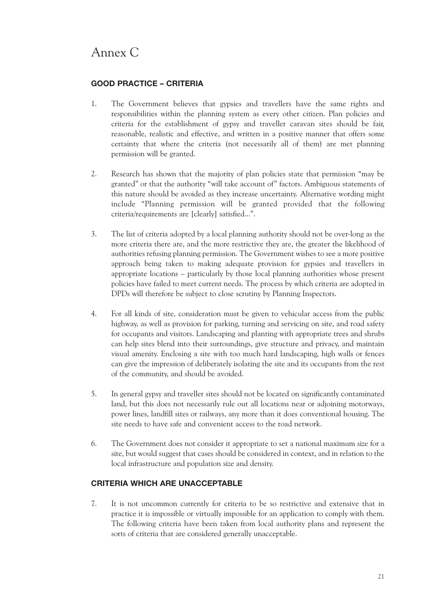## Annex C

### **GOOD PRACTICE – CRITERIA**

- 1. The Government believes that gypsies and travellers have the same rights and responsibilities within the planning system as every other citizen. Plan policies and criteria for the establishment of gypsy and traveller caravan sites should be fair, reasonable, realistic and effective, and written in a positive manner that offers some certainty that where the criteria (not necessarily all of them) are met planning permission will be granted.
- 2. Research has shown that the majority of plan policies state that permission "may be granted" or that the authority "will take account of" factors. Ambiguous statements of this nature should be avoided as they increase uncertainty. Alternative wording might include "Planning permission will be granted provided that the following criteria/requirements are [clearly] satisfied...".
- 3. The list of criteria adopted by a local planning authority should not be over-long as the more criteria there are, and the more restrictive they are, the greater the likelihood of authorities refusing planning permission. The Government wishes to see a more positive approach being taken to making adequate provision for gypsies and travellers in appropriate locations – particularly by those local planning authorities whose present policies have failed to meet current needs. The process by which criteria are adopted in DPDs will therefore be subject to close scrutiny by Planning Inspectors.
- 4. For all kinds of site, consideration must be given to vehicular access from the public highway, as well as provision for parking, turning and servicing on site, and road safety for occupants and visitors. Landscaping and planting with appropriate trees and shrubs can help sites blend into their surroundings, give structure and privacy, and maintain visual amenity. Enclosing a site with too much hard landscaping, high walls or fences can give the impression of deliberately isolating the site and its occupants from the rest of the community, and should be avoided.
- 5. In general gypsy and traveller sites should not be located on significantly contaminated land, but this does not necessarily rule out all locations near or adjoining motorways, power lines, landfill sites or railways, any more than it does conventional housing. The site needs to have safe and convenient access to the road network.
- 6. The Government does not consider it appropriate to set a national maximum size for a site, but would suggest that cases should be considered in context, and in relation to the local infrastructure and population size and density.

### **CRITERIA WHICH ARE UNACCEPTABLE**

7. It is not uncommon currently for criteria to be so restrictive and extensive that in practice it is impossible or virtually impossible for an application to comply with them. The following criteria have been taken from local authority plans and represent the sorts of criteria that are considered generally unacceptable.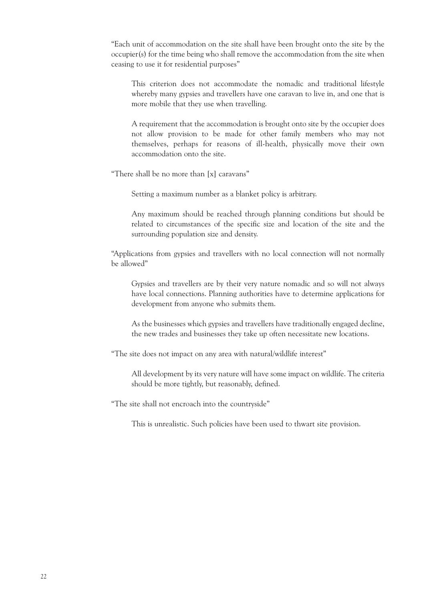"Each unit of accommodation on the site shall have been brought onto the site by the occupier(s) for the time being who shall remove the accommodation from the site when ceasing to use it for residential purposes"

This criterion does not accommodate the nomadic and traditional lifestyle whereby many gypsies and travellers have one caravan to live in, and one that is more mobile that they use when travelling.

A requirement that the accommodation is brought onto site by the occupier does not allow provision to be made for other family members who may not themselves, perhaps for reasons of ill-health, physically move their own accommodation onto the site.

"There shall be no more than [x] caravans"

Setting a maximum number as a blanket policy is arbitrary.

Any maximum should be reached through planning conditions but should be related to circumstances of the specific size and location of the site and the surrounding population size and density.

"Applications from gypsies and travellers with no local connection will not normally be allowed"

Gypsies and travellers are by their very nature nomadic and so will not always have local connections. Planning authorities have to determine applications for development from anyone who submits them.

As the businesses which gypsies and travellers have traditionally engaged decline, the new trades and businesses they take up often necessitate new locations.

"The site does not impact on any area with natural/wildlife interest"

All development by its very nature will have some impact on wildlife. The criteria should be more tightly, but reasonably, defined.

"The site shall not encroach into the countryside"

This is unrealistic. Such policies have been used to thwart site provision.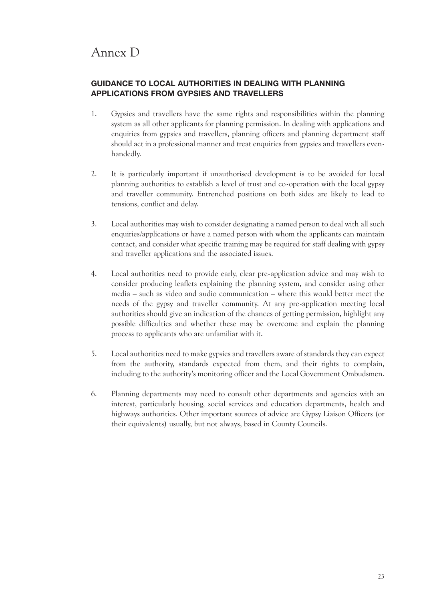## Annex D

### **GUIDANCE TO LOCAL AUTHORITIES IN DEALING WITH PLANNING APPLICATIONS FROM GYPSIES AND TRAVELLERS**

- 1. Gypsies and travellers have the same rights and responsibilities within the planning system as all other applicants for planning permission. In dealing with applications and enquiries from gypsies and travellers, planning officers and planning department staff should act in a professional manner and treat enquiries from gypsies and travellers evenhandedly.
- 2. It is particularly important if unauthorised development is to be avoided for local planning authorities to establish a level of trust and co-operation with the local gypsy and traveller community. Entrenched positions on both sides are likely to lead to tensions, conflict and delay.
- 3. Local authorities may wish to consider designating a named person to deal with all such enquiries/applications or have a named person with whom the applicants can maintain contact, and consider what specific training may be required for staff dealing with gypsy and traveller applications and the associated issues.
- 4. Local authorities need to provide early, clear pre-application advice and may wish to consider producing leaflets explaining the planning system, and consider using other media – such as video and audio communication – where this would better meet the needs of the gypsy and traveller community. At any pre-application meeting local authorities should give an indication of the chances of getting permission, highlight any possible difficulties and whether these may be overcome and explain the planning process to applicants who are unfamiliar with it.
- 5. Local authorities need to make gypsies and travellers aware of standards they can expect from the authority, standards expected from them, and their rights to complain, including to the authority's monitoring officer and the Local Government Ombudsmen.
- 6. Planning departments may need to consult other departments and agencies with an interest, particularly housing, social services and education departments, health and highways authorities. Other important sources of advice are Gypsy Liaison Officers (or their equivalents) usually, but not always, based in County Councils.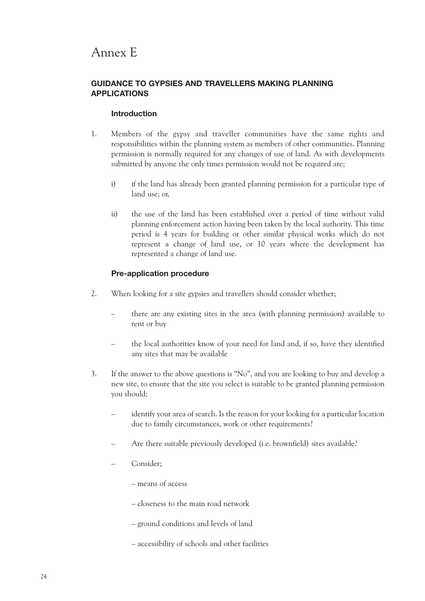### Annex E

#### **GUIDANCE TO GYPSIES AND TRAVELLERS MAKING PLANNING APPLICATIONS**

#### **Introduction**

- 1. Members of the gypsy and traveller communities have the same rights and responsibilities within the planning system as members of other communities. Planning permission is normally required for any changes of use of land. As with developments submitted by anyone the only times permission would not be required are;
	- i) if the land has already been granted planning permission for a particular type of land use; or,
	- ii) the use of the land has been established over a period of time without valid planning enforcement action having been taken by the local authority. This time period is 4 years for building or other similar physical works which do not represent a change of land use, or 10 years where the development has represented a change of land use.

#### **Pre-application procedure**

- 2. When looking for a site gypsies and travellers should consider whether;
	- there are any existing sites in the area (with planning permission) available to rent or buy
	- the local authorities know of your need for land and, if so, have they identified any sites that may be available
- 3. If the answer to the above questions is "No", and you are looking to buy and develop a new site, to ensure that the site you select is suitable to be granted planning permission you should;
	- identify your area of search. Is the reason for your looking for a particular location due to family circumstances, work or other requirements?
	- Are there suitable previously developed (i.e. brownfield) sites available?
	- Consider;
		- means of access
		- closeness to the main road network
		- ground conditions and levels of land
		- accessibility of schools and other facilities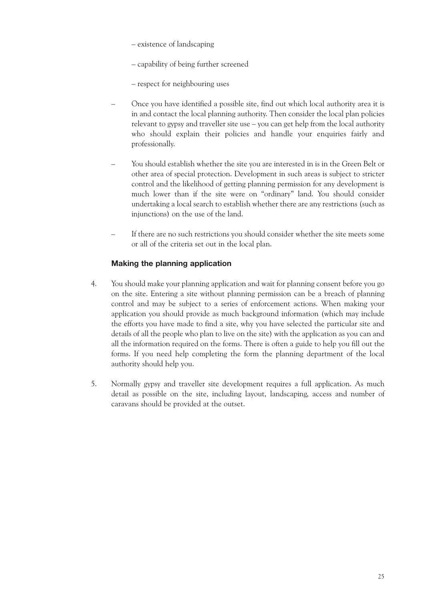- existence of landscaping
- capability of being further screened
- respect for neighbouring uses
- Once you have identified a possible site, find out which local authority area it is in and contact the local planning authority. Then consider the local plan policies relevant to gypsy and traveller site use – you can get help from the local authority who should explain their policies and handle your enquiries fairly and professionally.
- You should establish whether the site you are interested in is in the Green Belt or other area of special protection. Development in such areas is subject to stricter control and the likelihood of getting planning permission for any development is much lower than if the site were on "ordinary" land. You should consider undertaking a local search to establish whether there are any restrictions (such as injunctions) on the use of the land.
- If there are no such restrictions you should consider whether the site meets some or all of the criteria set out in the local plan.

#### **Making the planning application**

- 4. You should make your planning application and wait for planning consent before you go on the site. Entering a site without planning permission can be a breach of planning control and may be subject to a series of enforcement actions. When making your application you should provide as much background information (which may include the efforts you have made to find a site, why you have selected the particular site and details of all the people who plan to live on the site) with the application as you can and all the information required on the forms. There is often a guide to help you fill out the forms. If you need help completing the form the planning department of the local authority should help you.
- 5. Normally gypsy and traveller site development requires a full application. As much detail as possible on the site, including layout, landscaping, access and number of caravans should be provided at the outset.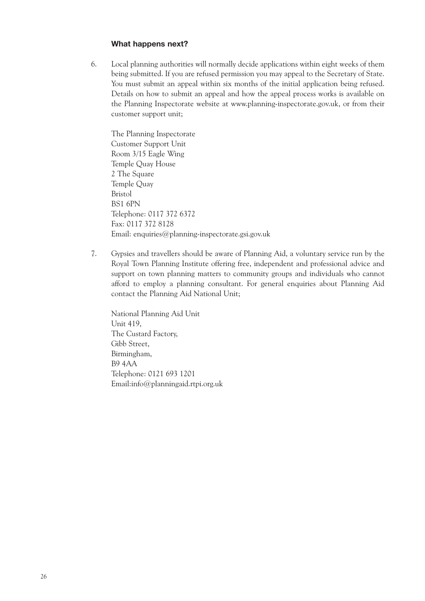#### **What happens next?**

6. Local planning authorities will normally decide applications within eight weeks of them being submitted. If you are refused permission you may appeal to the Secretary of State. You must submit an appeal within six months of the initial application being refused. Details on how to submit an appeal and how the appeal process works is available on the Planning Inspectorate website at www.planning-inspectorate.gov.uk, or from their customer support unit;

The Planning Inspectorate Customer Support Unit Room 3/15 Eagle Wing Temple Quay House 2 The Square Temple Quay Bristol BS1 6PN Telephone: 0117 372 6372 Fax: 0117 372 8128 Email: enquiries@planning-inspectorate.gsi.gov.uk

7. Gypsies and travellers should be aware of Planning Aid, a voluntary service run by the Royal Town Planning Institute offering free, independent and professional advice and support on town planning matters to community groups and individuals who cannot afford to employ a planning consultant. For general enquiries about Planning Aid contact the Planning Aid National Unit;

National Planning Aid Unit Unit 419, The Custard Factory, Gibb Street, Birmingham, B9 4AA Telephone: 0121 693 1201 Email:info@planningaid.rtpi.org.uk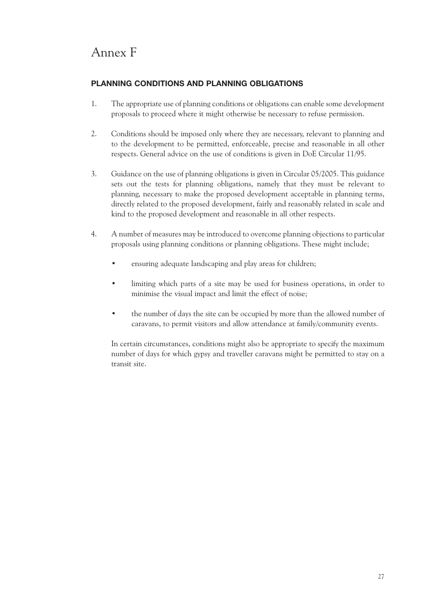## Annex F

### **PLANNING CONDITIONS AND PLANNING OBLIGATIONS**

- 1. The appropriate use of planning conditions or obligations can enable some development proposals to proceed where it might otherwise be necessary to refuse permission.
- 2. Conditions should be imposed only where they are necessary, relevant to planning and to the development to be permitted, enforceable, precise and reasonable in all other respects. General advice on the use of conditions is given in DoE Circular 11/95.
- 3. Guidance on the use of planning obligations is given in Circular 05/2005. This guidance sets out the tests for planning obligations, namely that they must be relevant to planning, necessary to make the proposed development acceptable in planning terms, directly related to the proposed development, fairly and reasonably related in scale and kind to the proposed development and reasonable in all other respects.
- 4. A number of measures may be introduced to overcome planning objections to particular proposals using planning conditions or planning obligations. These might include;
	- ensuring adequate landscaping and play areas for children;
	- limiting which parts of a site may be used for business operations, in order to minimise the visual impact and limit the effect of noise;
	- the number of days the site can be occupied by more than the allowed number of caravans, to permit visitors and allow attendance at family/community events.

In certain circumstances, conditions might also be appropriate to specify the maximum number of days for which gypsy and traveller caravans might be permitted to stay on a transit site.